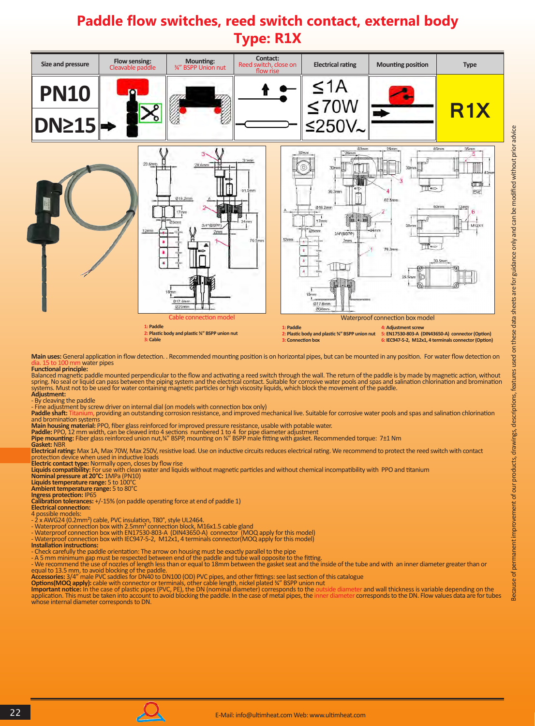## **Paddle flow switches, reed switch contact, external body Type: R1X**



**Main uses:** General application in flow detection. . Recommended mounting position is on horizontal pipes, but can be mounted in any position. For water flow detection on water pipes **Functional principle:**

Balanced magnetic paddle mounted perpendicular to the flow and activating a reed switch through the wall. The return of the paddle is by made by magnetic action, without<br>spring. No seal or liquid can pass between the pipin **Adjustment:** 

- By cleaving the paddle - Fine adjustment by screw driver on internal dial (on models with connection box only)

Paddle shaft: Titanium, providing an outstanding corrosion resistance, and improved mechanical live. Suitable for corrosive water pools and spas and salination chlorination and bromination systems

**Main housing material:** PPO, fiber glass reinforced for improved pressure resistance, usable with potable water.

**Paddle:** PPO, 12 mm width, can be cleaved into 4 sections numbered 1 to 4 for pipe diameter adjustment<br>**Pipe mounting:** Fiber glass reinforced union nut,¾" BSPP, mounting on ¾" BSPP male fitting with gasket. Recommended

**Gasket:** NBR

**Electrical rating:** Max 1A, Max 70W, Max 250V, resistive load. Use on inductive circuits reduces electrical rating. We recommend to protect the reed switch with contact protection device when used in inductive loads<br>**Electric contact type:** Normally open, closes by flow rise<br>**Liquids compatibility: F**or use with clean water and liquids without magnetic particles and without chemical incom

**Ambient temperature range:** 5 to 80°C

**Ingress protection:** IP65 **Calibration tolerances:** +/-15% (on paddle operating force at end of paddle 1)

**Electrical connection:** 

4 possible models:

- 2 x AWG24 (0.2mm²) cable, PVC insulation, T80°, style UL2464.

- Waterproof connection box with 2.5mm² connection block, M16x1.5 cable gland Waterproof connection box with EN17530-803-A (DIN43650-A) connector (MOQ apply for this model)
- Waterproof connection box with IEC947-5-2, M12x1, 4 terminals connector(MOQ apply for this model)
- **Installation instructions:**
- Check carefully the paddle orientation: The arrow on housing must be exactly parallel to the pipe
- 

- A 5 mm minimum gap must be respected between end of the paddle and tube wall opposite to the fitting.<br>- We recommend the use of nozzles of length less than or equal to 18mm between the gasket seat and the inside of the t whose internal diameter corresponds to DN.